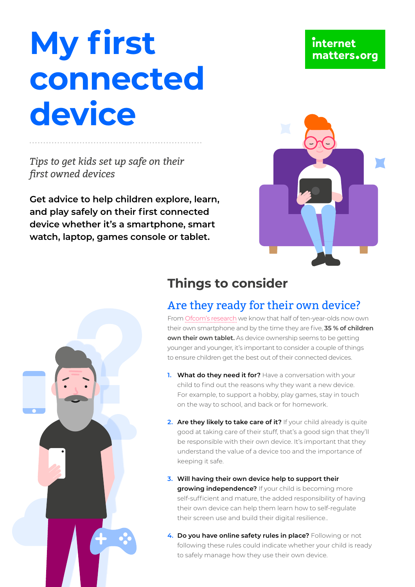# **My first connected device**

*Tips to get kids set up safe on their first owned devices*

**Get advice to help children explore, learn, and play safely on their first connected device whether it's a smartphone, smart watch, laptop, games console or tablet.**





## **Things to consider**

## Are they ready for their own device?

From [Ofcom's research](https://www.ofcom.org.uk/__data/assets/pdf_file/0023/190616/children-media-use-attitudes-2019-report.pdf) we know that half of ten-year-olds now own their own smartphone and by the time they are five, **35 % of children own their own tablet.** As device ownership seems to be getting younger and younger, it's important to consider a couple of things to ensure children get the best out of their connected devices.

- **1. What do they need it for?** Have a conversation with your child to find out the reasons why they want a new device. For example, to support a hobby, play games, stay in touch on the way to school, and back or for homework.
- **2. Are they likely to take care of it?** If your child already is quite good at taking care of their stuff, that's a good sign that they'll be responsible with their own device. It's important that they understand the value of a device too and the importance of keeping it safe.
- **3. Will having their own device help to support their growing independence?** If your child is becoming more self-sufficient and mature, the added responsibility of having their own device can help them learn how to self-regulate their screen use and build their digital resilience..
- **4. Do you have online safety rules in place?** Following or not following these rules could indicate whether your child is ready to safely manage how they use their own device.

## internet matters.org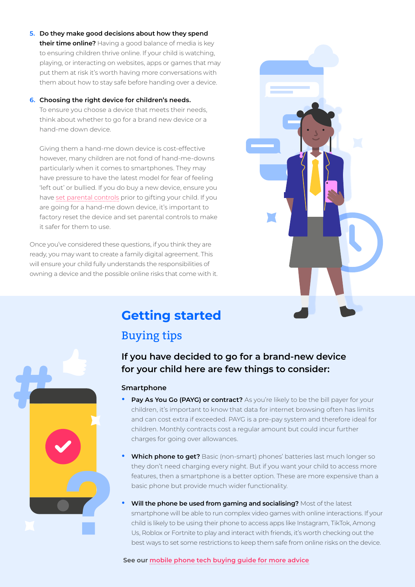**5. Do they make good decisions about how they spend their time online?** Having a good balance of media is key to ensuring children thrive online. If your child is watching, playing, or interacting on websites, apps or games that may put them at risk it's worth having more conversations with them about how to stay safe before handing over a device.

#### **6. Choosing the right device for children's needs.**

To ensure you choose a device that meets their needs, think about whether to go for a brand new device or a hand-me down device.

Giving them a hand-me down device is cost-effective however, many children are not fond of hand-me-downs particularly when it comes to smartphones. They may have pressure to have the latest model for fear of feeling 'left out' or bullied. If you do buy a new device, ensure you have [set parental controls](https://www.internetmatters.org/parental-controls/) prior to gifting your child. If you are going for a hand-me down device, it's important to factory reset the device and set parental controls to make it safer for them to use.

Once you've considered these questions, if you think they are ready, you may want to create a family digital agreement. This will ensure your child fully understands the responsibilities of owning a device and the possible online risks that come with it.



# **Getting started**

## Buying tips

## **If you have decided to go for a brand-new device for your child here are few things to consider:**

#### **Smartphone**

- Pay As You Go (PAYG) or contract? As you're likely to be the bill payer for your children, it's important to know that data for internet browsing often has limits and can cost extra if exceeded. PAYG is a pre-pay system and therefore ideal for children. Monthly contracts cost a regular amount but could incur further charges for going over allowances.
- **• Which phone to get?** Basic (non-smart) phones' batteries last much longer so they don't need charging every night. But if you want your child to access more features, then a smartphone is a better option. These are more expensive than a basic phone but provide much wider functionality.
- **• Will the phone be used from gaming and socialising?** Most of the latest smartphone will be able to run complex video games with online interactions. If your child is likely to be using their phone to access apps like Instagram, TikTok, Among Us, Roblox or Fortnite to play and interact with friends, it's worth checking out the best ways to set some restrictions to keep them safe from online risks on the device.

 **See our [mobile phone tech buying guide for more advice](https://www.internetmatters.org/resources/tech-guide/mobile-phones-for-children/)**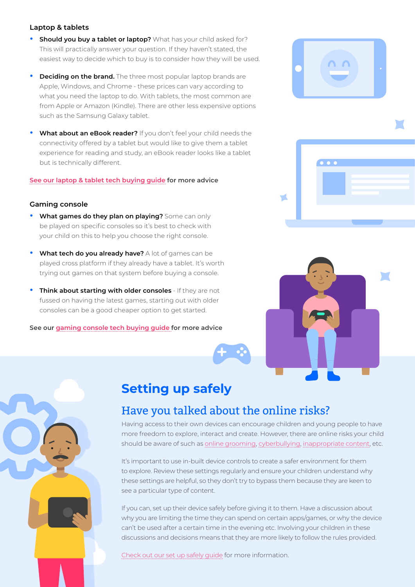#### **Laptop & tablets**

- **Should you buy a tablet or laptop?** What has your child asked for? This will practically answer your question. If they haven't stated, the easiest way to decide which to buy is to consider how they will be used.
- **Deciding on the brand.** The three most popular laptop brands are Apple, Windows, and Chrome - these prices can vary according to what you need the laptop to do. With tablets, the most common are from Apple or Amazon (Kindle). There are other less expensive options such as the Samsung Galaxy tablet.
- **• What about an eBook reader?** If you don't feel your child needs the connectivity offered by a tablet but would like to give them a tablet experience for reading and study, an eBook reader looks like a tablet but is technically different.

#### **[See our laptop & tablet tech buying guide](https://www.internetmatters.org/resources/tech-guide/laptops-tablets-for-children) for more advice**

#### **Gaming console**

- **• What games do they plan on playing?** Some can only be played on specific consoles so it's best to check with your child on this to help you choose the right console.
- **• What tech do you already have?** A lot of games can be played cross platform if they already have a tablet. It's worth trying out games on that system before buying a console.
- **• Think about starting with older consoles** If they are not fussed on having the latest games, starting out with older consoles can be a good cheaper option to get started.

**See our [gaming console tech buying guide f](https://www.internetmatters.org/resources/tech-guide/gaming-consoles-for-children/)or more advice** 





 $\blacksquare$ 



## **Setting up safely**

## Have you talked about the online risks?

Having access to their own devices can encourage children and young people to have more freedom to explore, interact and create. However, there are online risks your child should be aware of such as [online grooming](https://www.internetmatters.org/issues/online-grooming/), [cyberbullying,](https://www.internetmatters.org/issues/cyberbullying/) [inappropriate content](https://www.internetmatters.org/issues/inappropriate-content/), etc.

It's important to use in-built device controls to create a safer environment for them to explore. Review these settings regularly and ensure your children understand why these settings are helpful, so they don't try to bypass them because they are keen to see a particular type of content.

If you can, set up their device safely before giving it to them. Have a discussion about why you are limiting the time they can spend on certain apps/games, or why the device can't be used after a certain time in the evening etc. Involving your children in these discussions and decisions means that they are more likely to follow the rules provided.

[Check out our set up safely guide](https://www.internetmatters.org/resources/e-safety-checklist-getting-your-kids-tech-devices-set-up-safe/) for more information.